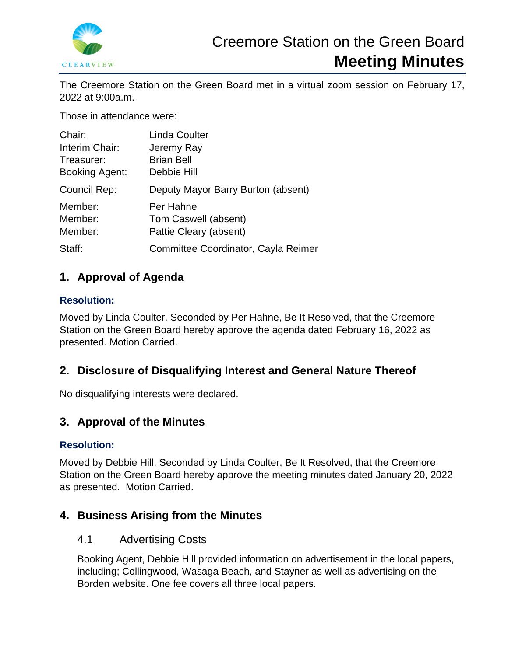

The Creemore Station on the Green Board met in a virtual zoom session on February 17, 2022 at 9:00a.m.

Those in attendance were:

| Chair:         | <b>Linda Coulter</b>                |
|----------------|-------------------------------------|
| Interim Chair: | Jeremy Ray                          |
| Treasurer:     | <b>Brian Bell</b>                   |
| Booking Agent: | Debbie Hill                         |
| Council Rep:   | Deputy Mayor Barry Burton (absent)  |
| Member:        | Per Hahne                           |
| Member:        | Tom Caswell (absent)                |
| Member:        | Pattie Cleary (absent)              |
| Staff:         | Committee Coordinator, Cayla Reimer |

## **1. Approval of Agenda**

## **Resolution:**

Moved by Linda Coulter, Seconded by Per Hahne, Be It Resolved, that the Creemore Station on the Green Board hereby approve the agenda dated February 16, 2022 as presented. Motion Carried.

# **2. Disclosure of Disqualifying Interest and General Nature Thereof**

No disqualifying interests were declared.

# **3. Approval of the Minutes**

## **Resolution:**

Moved by Debbie Hill, Seconded by Linda Coulter, Be It Resolved, that the Creemore Station on the Green Board hereby approve the meeting minutes dated January 20, 2022 as presented. Motion Carried.

## **4. Business Arising from the Minutes**

## 4.1 Advertising Costs

Booking Agent, Debbie Hill provided information on advertisement in the local papers, including; Collingwood, Wasaga Beach, and Stayner as well as advertising on the Borden website. One fee covers all three local papers.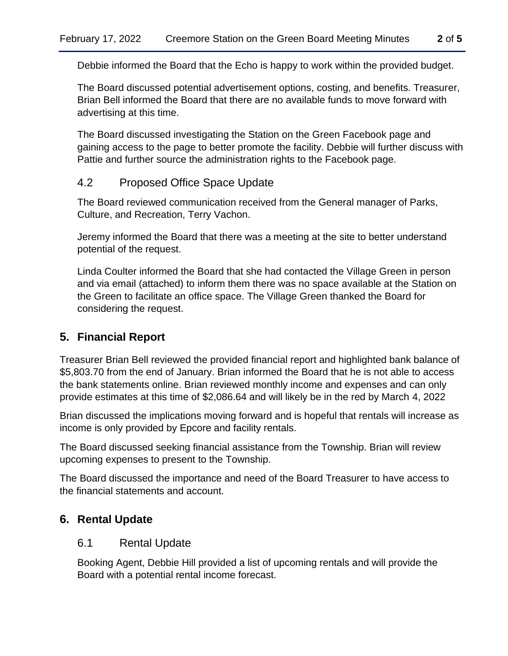Debbie informed the Board that the Echo is happy to work within the provided budget.

The Board discussed potential advertisement options, costing, and benefits. Treasurer, Brian Bell informed the Board that there are no available funds to move forward with advertising at this time.

The Board discussed investigating the Station on the Green Facebook page and gaining access to the page to better promote the facility. Debbie will further discuss with Pattie and further source the administration rights to the Facebook page.

## 4.2 Proposed Office Space Update

The Board reviewed communication received from the General manager of Parks, Culture, and Recreation, Terry Vachon.

Jeremy informed the Board that there was a meeting at the site to better understand potential of the request.

Linda Coulter informed the Board that she had contacted the Village Green in person and via email (attached) to inform them there was no space available at the Station on the Green to facilitate an office space. The Village Green thanked the Board for considering the request.

## **5. Financial Report**

Treasurer Brian Bell reviewed the provided financial report and highlighted bank balance of \$5,803.70 from the end of January. Brian informed the Board that he is not able to access the bank statements online. Brian reviewed monthly income and expenses and can only provide estimates at this time of \$2,086.64 and will likely be in the red by March 4, 2022

Brian discussed the implications moving forward and is hopeful that rentals will increase as income is only provided by Epcore and facility rentals.

The Board discussed seeking financial assistance from the Township. Brian will review upcoming expenses to present to the Township.

The Board discussed the importance and need of the Board Treasurer to have access to the financial statements and account.

## **6. Rental Update**

### 6.1 Rental Update

Booking Agent, Debbie Hill provided a list of upcoming rentals and will provide the Board with a potential rental income forecast.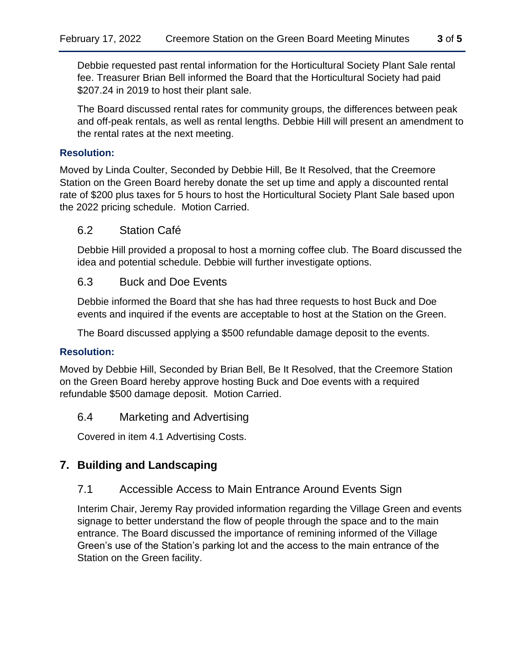Debbie requested past rental information for the Horticultural Society Plant Sale rental fee. Treasurer Brian Bell informed the Board that the Horticultural Society had paid \$207.24 in 2019 to host their plant sale.

The Board discussed rental rates for community groups, the differences between peak and off-peak rentals, as well as rental lengths. Debbie Hill will present an amendment to the rental rates at the next meeting.

#### **Resolution:**

Moved by Linda Coulter, Seconded by Debbie Hill, Be It Resolved, that the Creemore Station on the Green Board hereby donate the set up time and apply a discounted rental rate of \$200 plus taxes for 5 hours to host the Horticultural Society Plant Sale based upon the 2022 pricing schedule. Motion Carried.

#### 6.2 Station Café

Debbie Hill provided a proposal to host a morning coffee club. The Board discussed the idea and potential schedule. Debbie will further investigate options.

#### 6.3 Buck and Doe Events

Debbie informed the Board that she has had three requests to host Buck and Doe events and inquired if the events are acceptable to host at the Station on the Green.

The Board discussed applying a \$500 refundable damage deposit to the events.

#### **Resolution:**

Moved by Debbie Hill, Seconded by Brian Bell, Be It Resolved, that the Creemore Station on the Green Board hereby approve hosting Buck and Doe events with a required refundable \$500 damage deposit. Motion Carried.

#### 6.4 Marketing and Advertising

Covered in item 4.1 Advertising Costs.

## **7. Building and Landscaping**

## 7.1 Accessible Access to Main Entrance Around Events Sign

Interim Chair, Jeremy Ray provided information regarding the Village Green and events signage to better understand the flow of people through the space and to the main entrance. The Board discussed the importance of remining informed of the Village Green's use of the Station's parking lot and the access to the main entrance of the Station on the Green facility.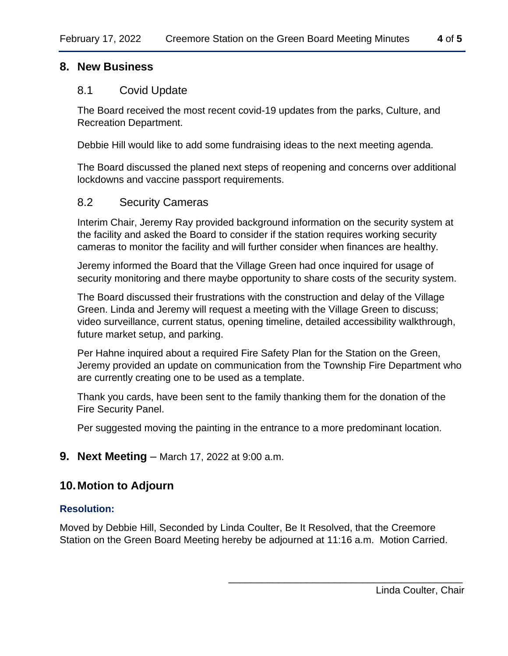### **8. New Business**

#### 8.1 Covid Update

The Board received the most recent covid-19 updates from the parks, Culture, and Recreation Department.

Debbie Hill would like to add some fundraising ideas to the next meeting agenda.

The Board discussed the planed next steps of reopening and concerns over additional lockdowns and vaccine passport requirements.

### 8.2 Security Cameras

Interim Chair, Jeremy Ray provided background information on the security system at the facility and asked the Board to consider if the station requires working security cameras to monitor the facility and will further consider when finances are healthy.

Jeremy informed the Board that the Village Green had once inquired for usage of security monitoring and there maybe opportunity to share costs of the security system.

The Board discussed their frustrations with the construction and delay of the Village Green. Linda and Jeremy will request a meeting with the Village Green to discuss; video surveillance, current status, opening timeline, detailed accessibility walkthrough, future market setup, and parking.

Per Hahne inquired about a required Fire Safety Plan for the Station on the Green, Jeremy provided an update on communication from the Township Fire Department who are currently creating one to be used as a template.

Thank you cards, have been sent to the family thanking them for the donation of the Fire Security Panel.

Per suggested moving the painting in the entrance to a more predominant location.

**9. Next Meeting** – March 17, 2022 at 9:00 a.m.

## **10.Motion to Adjourn**

#### **Resolution:**

Moved by Debbie Hill, Seconded by Linda Coulter, Be It Resolved, that the Creemore Station on the Green Board Meeting hereby be adjourned at 11:16 a.m. Motion Carried.

\_\_\_\_\_\_\_\_\_\_\_\_\_\_\_\_\_\_\_\_\_\_\_\_\_\_\_\_\_\_\_\_\_\_\_\_\_\_\_\_\_\_